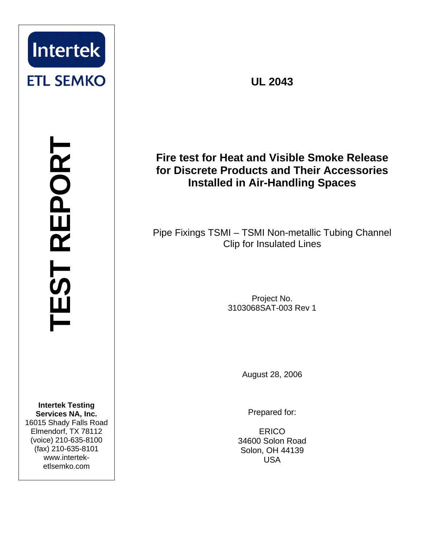

**TEST REPORT** TEST REPORT

**Intertek Testing Services NA, Inc.** 16015 Shady Falls Road Elmendorf, TX 78112 (voice) 210-635-8100 (fax) 210-635-8101 www.interteketlsemko.com

**UL 2043** 

## **Fire test for Heat and Visible Smoke Release for Discrete Products and Their Accessories Installed in Air-Handling Spaces**

Pipe Fixings TSMI – TSMI Non-metallic Tubing Channel Clip for Insulated Lines

> Project No. 3103068SAT-003 Rev 1

> > August 28, 2006

Prepared for:

**ERICO** 34600 Solon Road Solon, OH 44139 USA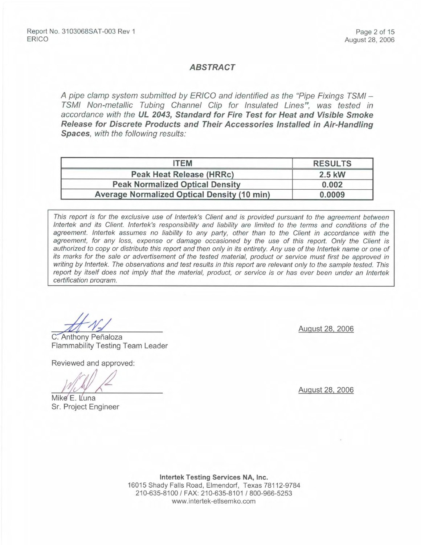#### **ABSTRACT**

A pipe clamp system submitted by ERICO and identified as the "Pipe Fixings TSMI -TSMI Non-metallic Tubing Channel Clip for Insulated Lines", was tested in accordance with the UL 2043, Standard for Fire Test for Heat and Visible Smoke Release for Discrete Products and Their Accessories Installed in Air-Handling Spaces, with the following results:

| <b>ITEM</b>                                        | <b>RESULTS</b> |
|----------------------------------------------------|----------------|
| Peak Heat Release (HRRc)                           | 2.5 kW         |
| <b>Peak Normalized Optical Density</b>             | 0.002          |
| <b>Average Normalized Optical Density (10 min)</b> | 0.0009         |

This report is for the exclusive use of Intertek's Client and is provided pursuant to the agreement between Intertek and its Client. Intertek's responsibility and liability are limited to the terms and conditions of the agreement. Intertek assumes no liability to any party, other than to the Client in accordance with the agreement, for any loss, expense or damage occasioned by the use of this report. Only the Client is authorized to copy or distribute this report and then only in its entirety. Any use of the Intertek name or one of its marks for the sale or advertisement of the tested material, product or service must first be approved in writing by Intertek. The observations and test results in this report are relevant only to the sample tested. This report by itself does not imply that the material, product, or service is or has ever been under an Intertek certification program.

C. Anthony Peñaloza **Flammability Testing Team Leader** 

Reviewed and approved:

Mike E. Luna Sr. Project Engineer

August 28, 2006

August 28, 2006

Intertek Testing Services NA, Inc. 16015 Shady Falls Road, Elmendorf, Texas 78112-9784 210-635-8100 / FAX: 210-635-8101 / 800-966-5253 www.intertek-etlsemko.com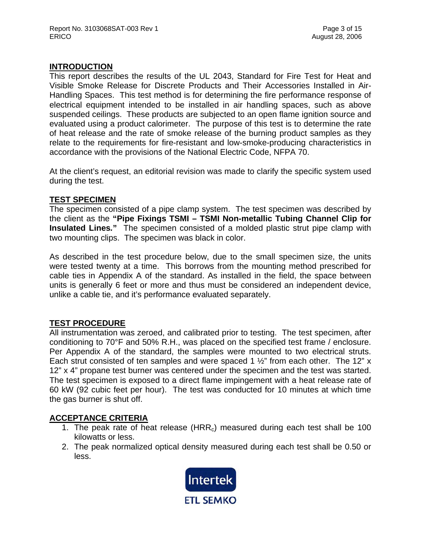### **INTRODUCTION**

This report describes the results of the UL 2043, Standard for Fire Test for Heat and Visible Smoke Release for Discrete Products and Their Accessories Installed in Air-Handling Spaces. This test method is for determining the fire performance response of electrical equipment intended to be installed in air handling spaces, such as above suspended ceilings. These products are subjected to an open flame ignition source and evaluated using a product calorimeter. The purpose of this test is to determine the rate of heat release and the rate of smoke release of the burning product samples as they relate to the requirements for fire-resistant and low-smoke-producing characteristics in accordance with the provisions of the National Electric Code, NFPA 70.

At the client's request, an editorial revision was made to clarify the specific system used during the test.

### **TEST SPECIMEN**

The specimen consisted of a pipe clamp system. The test specimen was described by the client as the **"Pipe Fixings TSMI – TSMI Non-metallic Tubing Channel Clip for Insulated Lines***.***"** The specimen consisted of a molded plastic strut pipe clamp with two mounting clips. The specimen was black in color.

As described in the test procedure below, due to the small specimen size, the units were tested twenty at a time. This borrows from the mounting method prescribed for cable ties in Appendix A of the standard. As installed in the field, the space between units is generally 6 feet or more and thus must be considered an independent device, unlike a cable tie, and it's performance evaluated separately.

### **TEST PROCEDURE**

All instrumentation was zeroed, and calibrated prior to testing. The test specimen, after conditioning to 70°F and 50% R.H., was placed on the specified test frame / enclosure. Per Appendix A of the standard, the samples were mounted to two electrical struts. Each strut consisted of ten samples and were spaced 1  $\frac{1}{2}$ " from each other. The 12" x 12" x 4" propane test burner was centered under the specimen and the test was started. The test specimen is exposed to a direct flame impingement with a heat release rate of 60 kW (92 cubic feet per hour). The test was conducted for 10 minutes at which time the gas burner is shut off.

### **ACCEPTANCE CRITERIA**

- 1. The peak rate of heat release  $(HRR<sub>c</sub>)$  measured during each test shall be 100 kilowatts or less.
- 2. The peak normalized optical density measured during each test shall be 0.50 or less.

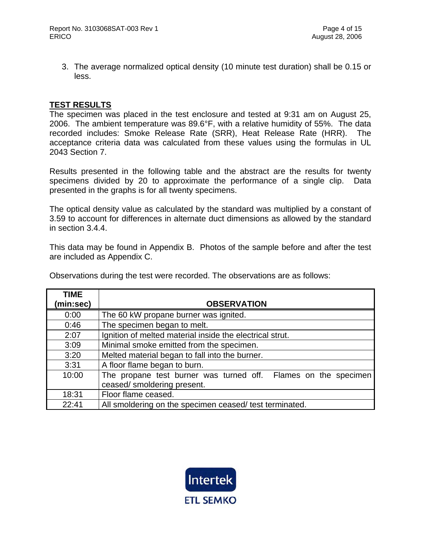3. The average normalized optical density (10 minute test duration) shall be 0.15 or less.

### **TEST RESULTS**

The specimen was placed in the test enclosure and tested at 9:31 am on August 25, 2006. The ambient temperature was 89.6°F, with a relative humidity of 55%. The data recorded includes: Smoke Release Rate (SRR), Heat Release Rate (HRR). The acceptance criteria data was calculated from these values using the formulas in UL 2043 Section 7.

Results presented in the following table and the abstract are the results for twenty specimens divided by 20 to approximate the performance of a single clip. Data presented in the graphs is for all twenty specimens.

The optical density value as calculated by the standard was multiplied by a constant of 3.59 to account for differences in alternate duct dimensions as allowed by the standard in section 3.4.4.

This data may be found in Appendix B. Photos of the sample before and after the test are included as Appendix C.

Observations during the test were recorded. The observations are as follows:

| <b>TIME</b> |                                                                                               |
|-------------|-----------------------------------------------------------------------------------------------|
| (min:sec)   | <b>OBSERVATION</b>                                                                            |
| 0:00        | The 60 kW propane burner was ignited.                                                         |
| 0:46        | The specimen began to melt.                                                                   |
| 2:07        | Ignition of melted material inside the electrical strut.                                      |
| 3:09        | Minimal smoke emitted from the specimen.                                                      |
| 3:20        | Melted material began to fall into the burner.                                                |
| 3:31        | A floor flame began to burn.                                                                  |
| 10:00       | The propane test burner was turned off. Flames on the specimen<br>ceased/ smoldering present. |
| 18:31       | Floor flame ceased.                                                                           |
|             |                                                                                               |
| 22:41       | All smoldering on the specimen ceased/ test terminated.                                       |

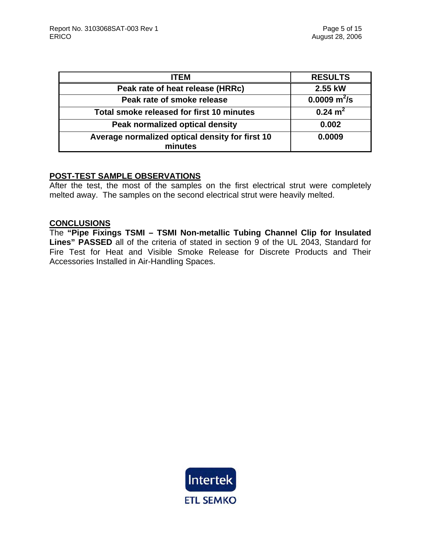| <b>ITEM</b>                                                | <b>RESULTS</b>     |
|------------------------------------------------------------|--------------------|
| Peak rate of heat release (HRRc)                           | 2.55 kW            |
| Peak rate of smoke release                                 | 0.0009 $m^2/s$     |
| Total smoke released for first 10 minutes                  | $0.24 \text{ m}^2$ |
| Peak normalized optical density                            | 0.002              |
| Average normalized optical density for first 10<br>minutes | 0.0009             |

#### **POST-TEST SAMPLE OBSERVATIONS**

After the test, the most of the samples on the first electrical strut were completely melted away. The samples on the second electrical strut were heavily melted.

## **CONCLUSIONS**

The **"Pipe Fixings TSMI – TSMI Non-metallic Tubing Channel Clip for Insulated Lines" PASSED** all of the criteria of stated in section 9 of the UL 2043, Standard for Fire Test for Heat and Visible Smoke Release for Discrete Products and Their Accessories Installed in Air-Handling Spaces.

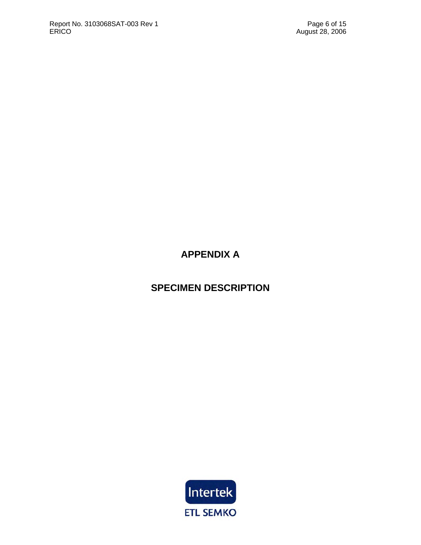# **APPENDIX A**

## **SPECIMEN DESCRIPTION**

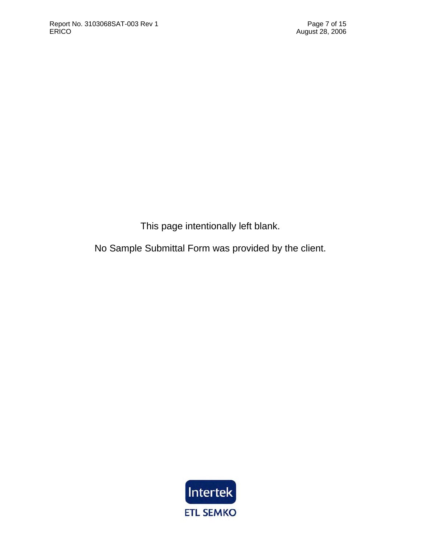This page intentionally left blank.

No Sample Submittal Form was provided by the client.

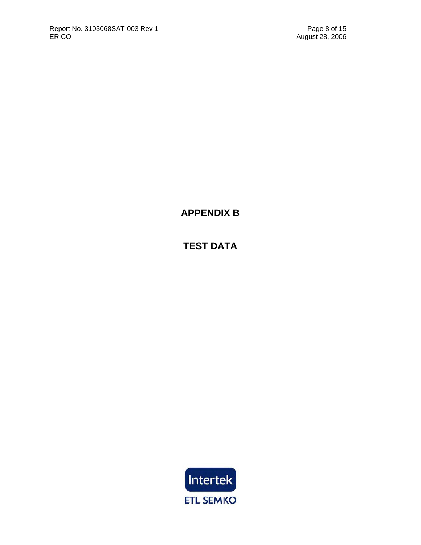**APPENDIX B** 

**TEST DATA**

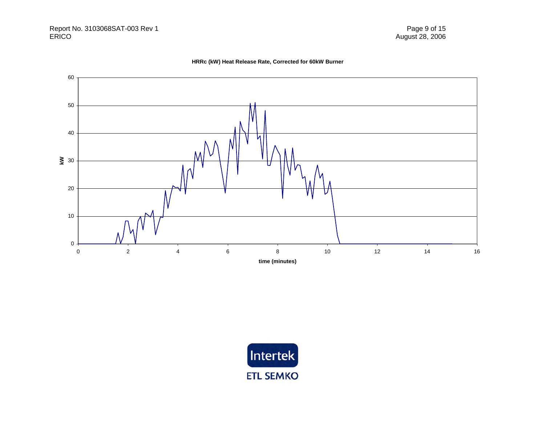



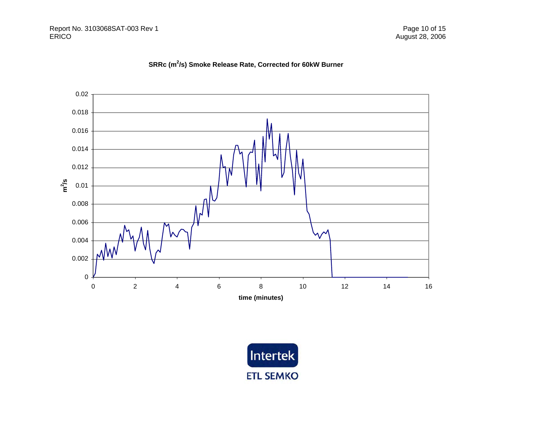## **SRRc (m2/s) Smoke Release Rate, Corrected for 60kW Burner**



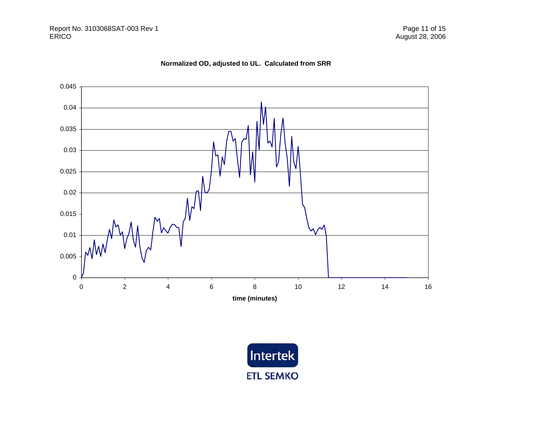



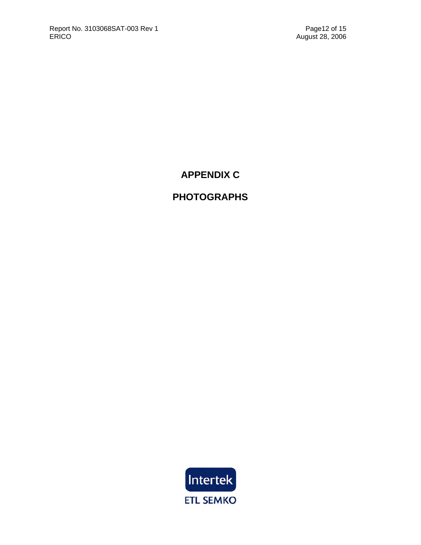## **APPENDIX C**

## **PHOTOGRAPHS**

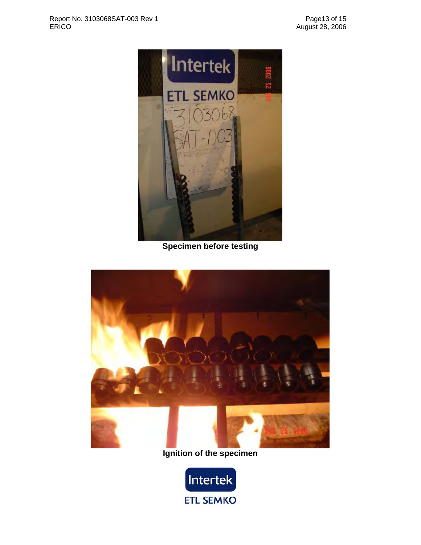

**Specimen before testing** 



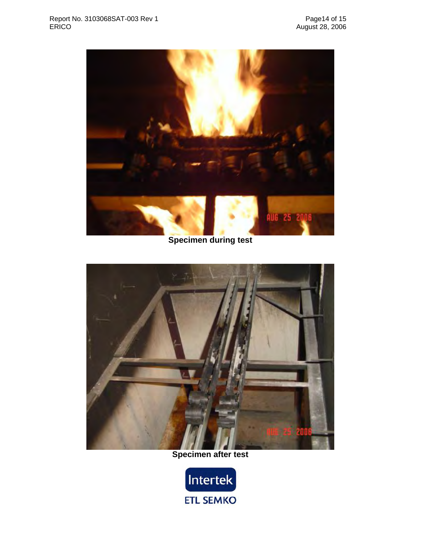

**Specimen during test** 



## **Specimen after test**